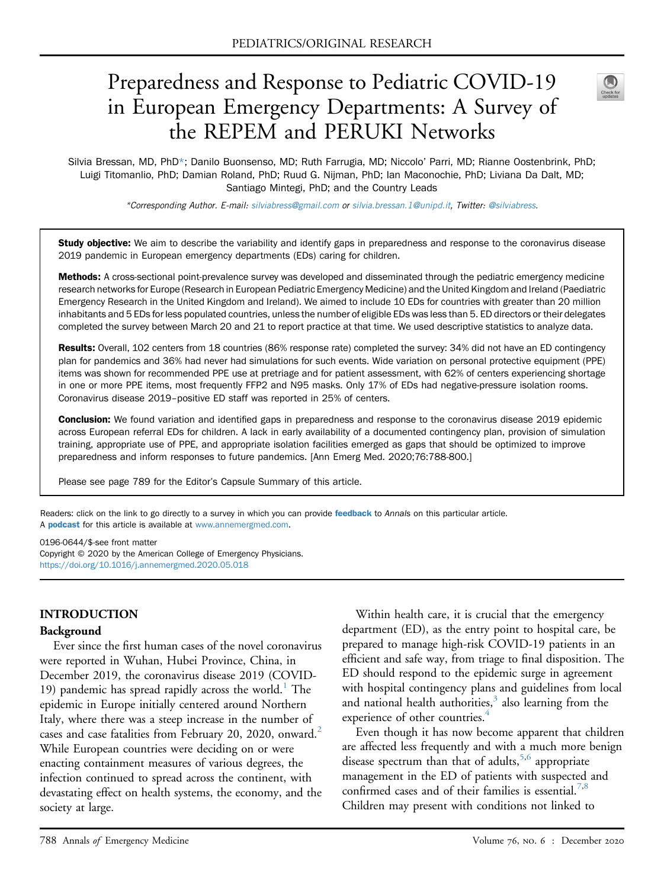# Preparedness and Response to Pediatric COVID-19 in European Emergency Departments: A Survey of the REPEM and PERUKI Networks



Silvia Bressan, MD, PhD\*; Danilo Buonsenso, MD; Ruth Farrugia, MD; Niccolo' Parri, MD; Rianne Oostenbrink, PhD; Luigi Titomanlio, PhD; Damian Roland, PhD; Ruud G. Nijman, PhD; Ian Maconochie, PhD; Liviana Da Dalt, MD; Santiago Mintegi, PhD; and the Country Leads

\*Corresponding Author. E-mail: [silviabress@gmail.com](mailto:silviabress@gmail.com) or [silvia.bressan.1@unipd.it,](mailto:silvia.bressan.1@unipd.it) Twitter: [@silviabress.](https://twitter.com/silviabress)

Study objective: We aim to describe the variability and identify gaps in preparedness and response to the coronavirus disease 2019 pandemic in European emergency departments (EDs) caring for children.

Methods: A cross-sectional point-prevalence survey was developed and disseminated through the pediatric emergency medicine research networks for Europe (Research in European Pediatric Emergency Medicine) and the United Kingdom and Ireland (Paediatric Emergency Research in the United Kingdom and Ireland). We aimed to include 10 EDs for countries with greater than 20 million inhabitants and 5 EDs for less populated countries, unless the number of eligible EDs was less than 5. ED directors or their delegates completed the survey between March 20 and 21 to report practice at that time. We used descriptive statistics to analyze data.

Results: Overall, 102 centers from 18 countries (86% response rate) completed the survey: 34% did not have an ED contingency plan for pandemics and 36% had never had simulations for such events. Wide variation on personal protective equipment (PPE) items was shown for recommended PPE use at pretriage and for patient assessment, with 62% of centers experiencing shortage in one or more PPE items, most frequently FFP2 and N95 masks. Only 17% of EDs had negative-pressure isolation rooms. Coronavirus disease 2019–positive ED staff was reported in 25% of centers.

Conclusion: We found variation and identified gaps in preparedness and response to the coronavirus disease 2019 epidemic across European referral EDs for children. A lack in early availability of a documented contingency plan, provision of simulation training, appropriate use of PPE, and appropriate isolation facilities emerged as gaps that should be optimized to improve preparedness and inform responses to future pandemics. [Ann Emerg Med. 2020;76:788-800.]

Please see page 789 for the Editor's Capsule Summary of this article.

Readers: click on the link to go directly to a survey in which you can provide [feedback](https://www.surveymonkey.com/r/WQBYJW9) to Annals on this particular article. A **[podcast](http://annemergmed.com/content/podcast)** for this article is available at [www.annemergmed.com](http://www.annemergmed.com).

0196-0644/\$-see front matter Copyright © 2020 by the American College of Emergency Physicians. <https://doi.org/10.1016/j.annemergmed.2020.05.018>

#### INTRODUCTION

#### Background

Ever since the first human cases of the novel coronavirus were reported in Wuhan, Hubei Province, China, in December 2019, the coronavirus disease 2019 (COVID-19) pandemic has spread rapidly across the world.<sup>1</sup> The epidemic in Europe initially centered around Northern Italy, where there was a steep increase in the number of cases and case fatalities from February [2](#page-11-1)0, 2020, onward.<sup>2</sup> While European countries were deciding on or were enacting containment measures of various degrees, the infection continued to spread across the continent, with devastating effect on health systems, the economy, and the society at large.

Within health care, it is crucial that the emergency department (ED), as the entry point to hospital care, be prepared to manage high-risk COVID-19 patients in an efficient and safe way, from triage to final disposition. The ED should respond to the epidemic surge in agreement with hospital contingency plans and guidelines from local and national health authorities,<sup>[3](#page-11-2)</sup> also learning from the experience of other countries.<sup>[4](#page-11-3)</sup>

Even though it has now become apparent that children are affected less frequently and with a much more benign disease spectrum than that of adults,  $5.6$  $5.6$  appropriate management in the ED of patients with suspected and confirmed cases and of their families is essential.<sup>[7,](#page-12-0)[8](#page-12-1)</sup> Children may present with conditions not linked to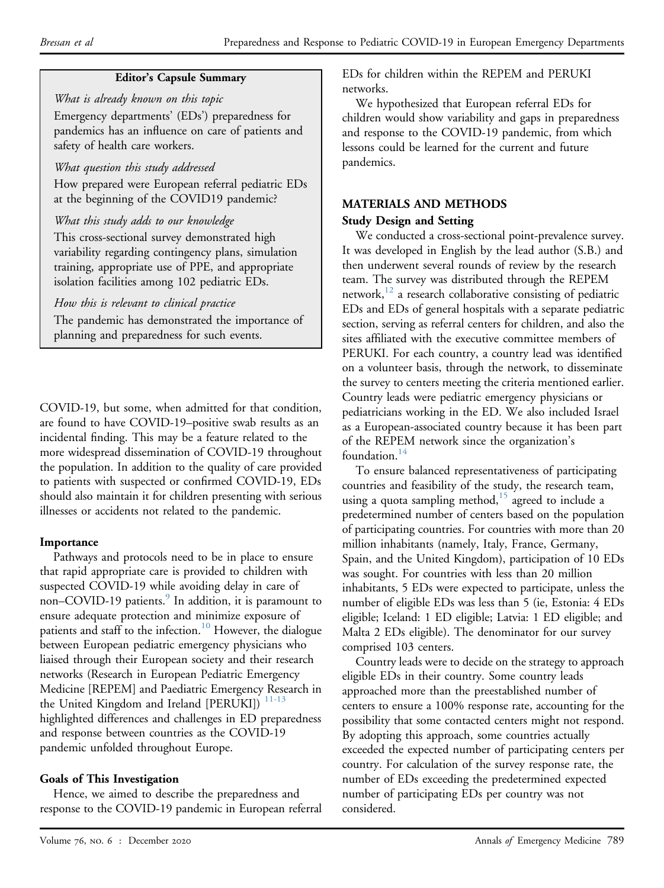#### Editor's Capsule Summary

What is already known on this topic Emergency departments' (EDs') preparedness for pandemics has an influence on care of patients and safety of health care workers.

What question this study addressed

How prepared were European referral pediatric EDs at the beginning of the COVID19 pandemic?

What this study adds to our knowledge

This cross-sectional survey demonstrated high variability regarding contingency plans, simulation training, appropriate use of PPE, and appropriate isolation facilities among 102 pediatric EDs.

How this is relevant to clinical practice

The pandemic has demonstrated the importance of planning and preparedness for such events.

COVID-19, but some, when admitted for that condition, are found to have COVID-19–positive swab results as an incidental finding. This may be a feature related to the more widespread dissemination of COVID-19 throughout the population. In addition to the quality of care provided to patients with suspected or confirmed COVID-19, EDs should also maintain it for children presenting with serious illnesses or accidents not related to the pandemic.

#### Importance

Pathways and protocols need to be in place to ensure that rapid appropriate care is provided to children with suspected COVID-19 while avoiding delay in care of non–COVID-1[9](#page-12-2) patients.<sup>9</sup> In addition, it is paramount to ensure adequate protection and minimize exposure of patients and staff to the infection.<sup>10</sup> However, the dialogue between European pediatric emergency physicians who liaised through their European society and their research networks (Research in European Pediatric Emergency Medicine [REPEM] and Paediatric Emergency Research in the United Kingdom and Ireland [PERUKI])<sup>[11-13](#page-12-4)</sup> highlighted differences and challenges in ED preparedness and response between countries as the COVID-19 pandemic unfolded throughout Europe.

## Goals of This Investigation

Hence, we aimed to describe the preparedness and response to the COVID-19 pandemic in European referral EDs for children within the REPEM and PERUKI networks.

We hypothesized that European referral EDs for children would show variability and gaps in preparedness and response to the COVID-19 pandemic, from which lessons could be learned for the current and future pandemics.

## MATERIALS AND METHODS

## Study Design and Setting

We conducted a cross-sectional point-prevalence survey. It was developed in English by the lead author (S.B.) and then underwent several rounds of review by the research team. The survey was distributed through the REPEM network, $12$  a research collaborative consisting of pediatric EDs and EDs of general hospitals with a separate pediatric section, serving as referral centers for children, and also the sites affiliated with the executive committee members of PERUKI. For each country, a country lead was identified on a volunteer basis, through the network, to disseminate the survey to centers meeting the criteria mentioned earlier. Country leads were pediatric emergency physicians or pediatricians working in the ED. We also included Israel as a European-associated country because it has been part of the REPEM network since the organization's foundation.<sup>[14](#page-12-6)</sup>

To ensure balanced representativeness of participating countries and feasibility of the study, the research team, using a quota sampling method,  $15$  agreed to include a predetermined number of centers based on the population of participating countries. For countries with more than 20 million inhabitants (namely, Italy, France, Germany, Spain, and the United Kingdom), participation of 10 EDs was sought. For countries with less than 20 million inhabitants, 5 EDs were expected to participate, unless the number of eligible EDs was less than 5 (ie, Estonia: 4 EDs eligible; Iceland: 1 ED eligible; Latvia: 1 ED eligible; and Malta 2 EDs eligible). The denominator for our survey comprised 103 centers.

Country leads were to decide on the strategy to approach eligible EDs in their country. Some country leads approached more than the preestablished number of centers to ensure a 100% response rate, accounting for the possibility that some contacted centers might not respond. By adopting this approach, some countries actually exceeded the expected number of participating centers per country. For calculation of the survey response rate, the number of EDs exceeding the predetermined expected number of participating EDs per country was not considered.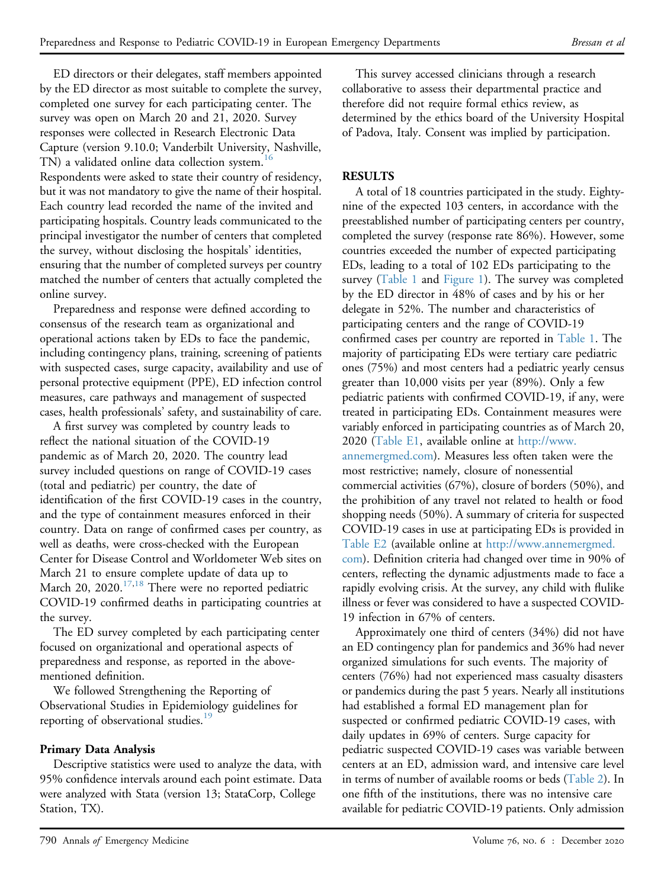ED directors or their delegates, staff members appointed by the ED director as most suitable to complete the survey, completed one survey for each participating center. The survey was open on March 20 and 21, 2020. Survey responses were collected in Research Electronic Data Capture (version 9.10.0; Vanderbilt University, Nashville, TN) a validated online data collection system.<sup>16</sup> Respondents were asked to state their country of residency, but it was not mandatory to give the name of their hospital. Each country lead recorded the name of the invited and participating hospitals. Country leads communicated to the principal investigator the number of centers that completed the survey, without disclosing the hospitals' identities, ensuring that the number of completed surveys per country matched the number of centers that actually completed the online survey.

Preparedness and response were defined according to consensus of the research team as organizational and operational actions taken by EDs to face the pandemic, including contingency plans, training, screening of patients with suspected cases, surge capacity, availability and use of personal protective equipment (PPE), ED infection control measures, care pathways and management of suspected cases, health professionals' safety, and sustainability of care.

A first survey was completed by country leads to reflect the national situation of the COVID-19 pandemic as of March 20, 2020. The country lead survey included questions on range of COVID-19 cases (total and pediatric) per country, the date of identification of the first COVID-19 cases in the country, and the type of containment measures enforced in their country. Data on range of confirmed cases per country, as well as deaths, were cross-checked with the European Center for Disease Control and Worldometer Web sites on March 21 to ensure complete update of data up to March 20, 2020.<sup>[17](#page-12-9)[,18](#page-12-10)</sup> There were no reported pediatric COVID-19 confirmed deaths in participating countries at the survey.

The ED survey completed by each participating center focused on organizational and operational aspects of preparedness and response, as reported in the abovementioned definition.

We followed Strengthening the Reporting of Observational Studies in Epidemiology guidelines for reporting of observational studies.<sup>19</sup>

## Primary Data Analysis

Descriptive statistics were used to analyze the data, with 95% confidence intervals around each point estimate. Data were analyzed with Stata (version 13; StataCorp, College Station, TX).

This survey accessed clinicians through a research collaborative to assess their departmental practice and therefore did not require formal ethics review, as determined by the ethics board of the University Hospital of Padova, Italy. Consent was implied by participation.

## **RESULTS**

A total of 18 countries participated in the study. Eightynine of the expected 103 centers, in accordance with the preestablished number of participating centers per country, completed the survey (response rate 86%). However, some countries exceeded the number of expected participating EDs, leading to a total of 102 EDs participating to the survey ([Table 1](#page-4-0) and [Figure 1\)](#page-6-0). The survey was completed by the ED director in 48% of cases and by his or her delegate in 52%. The number and characteristics of participating centers and the range of COVID-19 confirmed cases per country are reported in [Table 1](#page-4-0). The majority of participating EDs were tertiary care pediatric ones (75%) and most centers had a pediatric yearly census greater than 10,000 visits per year (89%). Only a few pediatric patients with confirmed COVID-19, if any, were treated in participating EDs. Containment measures were variably enforced in participating countries as of March 20, 2020 (Table E1, available online at [http://www.](http://www.annemergmed.com) [annemergmed.com\)](http://www.annemergmed.com). Measures less often taken were the most restrictive; namely, closure of nonessential commercial activities (67%), closure of borders (50%), and the prohibition of any travel not related to health or food shopping needs (50%). A summary of criteria for suspected COVID-19 cases in use at participating EDs is provided in Table E2 (available online at [http://www.annemergmed.](http://www.annemergmed.com) [com\)](http://www.annemergmed.com). Definition criteria had changed over time in 90% of centers, reflecting the dynamic adjustments made to face a rapidly evolving crisis. At the survey, any child with flulike illness or fever was considered to have a suspected COVID-19 infection in 67% of centers.

Approximately one third of centers (34%) did not have an ED contingency plan for pandemics and 36% had never organized simulations for such events. The majority of centers (76%) had not experienced mass casualty disasters or pandemics during the past 5 years. Nearly all institutions had established a formal ED management plan for suspected or confirmed pediatric COVID-19 cases, with daily updates in 69% of centers. Surge capacity for pediatric suspected COVID-19 cases was variable between centers at an ED, admission ward, and intensive care level in terms of number of available rooms or beds ([Table 2\)](#page-7-0). In one fifth of the institutions, there was no intensive care available for pediatric COVID-19 patients. Only admission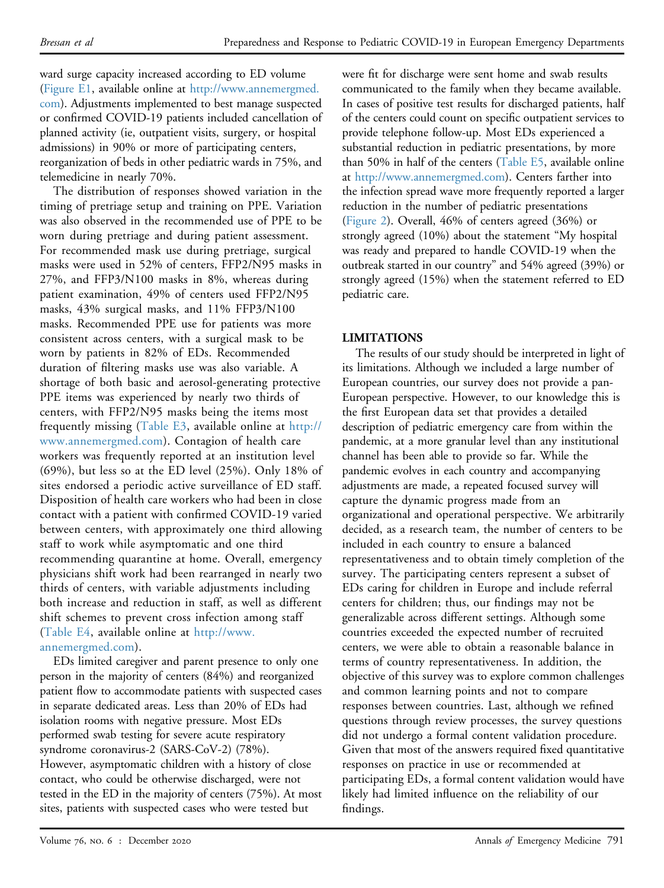ward surge capacity increased according to ED volume (Figure E1, available online at [http://www.annemergmed.](http://www.annemergmed.com) [com](http://www.annemergmed.com)). Adjustments implemented to best manage suspected or confirmed COVID-19 patients included cancellation of planned activity (ie, outpatient visits, surgery, or hospital admissions) in 90% or more of participating centers, reorganization of beds in other pediatric wards in 75%, and telemedicine in nearly 70%.

The distribution of responses showed variation in the timing of pretriage setup and training on PPE. Variation was also observed in the recommended use of PPE to be worn during pretriage and during patient assessment. For recommended mask use during pretriage, surgical masks were used in 52% of centers, FFP2/N95 masks in 27%, and FFP3/N100 masks in 8%, whereas during patient examination, 49% of centers used FFP2/N95 masks, 43% surgical masks, and 11% FFP3/N100 masks. Recommended PPE use for patients was more consistent across centers, with a surgical mask to be worn by patients in 82% of EDs. Recommended duration of filtering masks use was also variable. A shortage of both basic and aerosol-generating protective PPE items was experienced by nearly two thirds of centers, with FFP2/N95 masks being the items most frequently missing (Table E3, available online at [http://](http://www.annemergmed.com) [www.annemergmed.com\)](http://www.annemergmed.com). Contagion of health care workers was frequently reported at an institution level (69%), but less so at the ED level (25%). Only 18% of sites endorsed a periodic active surveillance of ED staff. Disposition of health care workers who had been in close contact with a patient with confirmed COVID-19 varied between centers, with approximately one third allowing staff to work while asymptomatic and one third recommending quarantine at home. Overall, emergency physicians shift work had been rearranged in nearly two thirds of centers, with variable adjustments including both increase and reduction in staff, as well as different shift schemes to prevent cross infection among staff (Table E4, available online at [http://www.](http://www.annemergmed.com) [annemergmed.com\)](http://www.annemergmed.com).

EDs limited caregiver and parent presence to only one person in the majority of centers (84%) and reorganized patient flow to accommodate patients with suspected cases in separate dedicated areas. Less than 20% of EDs had isolation rooms with negative pressure. Most EDs performed swab testing for severe acute respiratory syndrome coronavirus-2 (SARS-CoV-2) (78%). However, asymptomatic children with a history of close contact, who could be otherwise discharged, were not tested in the ED in the majority of centers (75%). At most sites, patients with suspected cases who were tested but

were fit for discharge were sent home and swab results communicated to the family when they became available. In cases of positive test results for discharged patients, half of the centers could count on specific outpatient services to provide telephone follow-up. Most EDs experienced a substantial reduction in pediatric presentations, by more than 50% in half of the centers (Table E5, available online at [http://www.annemergmed.com\)](http://www.annemergmed.com). Centers farther into the infection spread wave more frequently reported a larger reduction in the number of pediatric presentations ([Figure 2\)](#page-9-0). Overall, 46% of centers agreed (36%) or strongly agreed (10%) about the statement "My hospital was ready and prepared to handle COVID-19 when the outbreak started in our country" and 54% agreed (39%) or strongly agreed (15%) when the statement referred to ED pediatric care.

## LIMITATIONS

The results of our study should be interpreted in light of its limitations. Although we included a large number of European countries, our survey does not provide a pan-European perspective. However, to our knowledge this is the first European data set that provides a detailed description of pediatric emergency care from within the pandemic, at a more granular level than any institutional channel has been able to provide so far. While the pandemic evolves in each country and accompanying adjustments are made, a repeated focused survey will capture the dynamic progress made from an organizational and operational perspective. We arbitrarily decided, as a research team, the number of centers to be included in each country to ensure a balanced representativeness and to obtain timely completion of the survey. The participating centers represent a subset of EDs caring for children in Europe and include referral centers for children; thus, our findings may not be generalizable across different settings. Although some countries exceeded the expected number of recruited centers, we were able to obtain a reasonable balance in terms of country representativeness. In addition, the objective of this survey was to explore common challenges and common learning points and not to compare responses between countries. Last, although we refined questions through review processes, the survey questions did not undergo a formal content validation procedure. Given that most of the answers required fixed quantitative responses on practice in use or recommended at participating EDs, a formal content validation would have likely had limited influence on the reliability of our findings.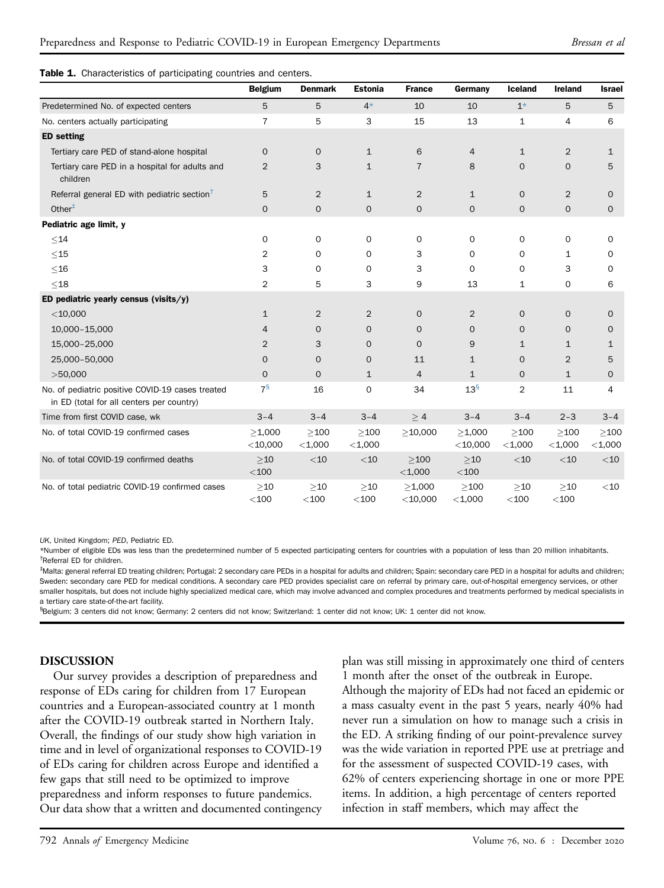| Table 1. Characteristics of participating countries and centers. |  |  |  |
|------------------------------------------------------------------|--|--|--|
|                                                                  |  |  |  |

|                                                                                               | <b>Belgium</b>       | <b>Denmark</b>       | <b>Estonia</b>    | <b>France</b>        | Germany              | Iceland                   | Ireland              | <b>Israel</b>     |
|-----------------------------------------------------------------------------------------------|----------------------|----------------------|-------------------|----------------------|----------------------|---------------------------|----------------------|-------------------|
| Predetermined No. of expected centers                                                         | 5                    | 5                    | $4*$              | 10                   | 10                   | $1*$                      | 5                    | 5                 |
| No. centers actually participating                                                            | $\overline{7}$       | 5                    | 3                 | 15                   | 13                   | $1\,$                     | 4                    | 6                 |
| <b>ED</b> setting                                                                             |                      |                      |                   |                      |                      |                           |                      |                   |
| Tertiary care PED of stand-alone hospital                                                     | $\mathbf{O}$         | $\mathbf{O}$         | $\mathbf{1}$      | 6                    | 4                    | $\mathbf{1}$              | $\overline{2}$       | $\mathbf{1}$      |
| Tertiary care PED in a hospital for adults and<br>children                                    | 2                    | 3                    | $\mathbf{1}$      | $\overline{7}$       | 8                    | $\mathbf 0$               | $\mathbf 0$          | 5                 |
| Referral general ED with pediatric section <sup><math>†</math></sup>                          | 5                    | 2                    | $\mathbf{1}$      | 2                    | $\mathbf{1}$         | $\Omega$                  | $\overline{2}$       | $\Omega$          |
| $Other+$                                                                                      | $\mathbf{O}$         | $\mathbf{O}$         | $\mathbf{0}$      | $\mathbf{0}$         | $\mathbf{O}$         | $\mathbf{O}$              | $\mathbf{O}$         | $\mathbf{0}$      |
| Pediatric age limit, y                                                                        |                      |                      |                   |                      |                      |                           |                      |                   |
| $\leq$ 14                                                                                     | $\mathbf 0$          | $\mathbf 0$          | $\mathbf{O}$      | 0                    | $\mathbf 0$          | $\mathbf 0$               | $\mathbf 0$          | $\Omega$          |
| $<$ 15                                                                                        | $\overline{2}$       | $\Omega$             | $\mathbf 0$       | 3                    | $\Omega$             | $\Omega$                  | $\mathbf{1}$         | $\Omega$          |
| $<$ 16                                                                                        | 3                    | 0                    | 0                 | 3                    | $\mathbf 0$          | 0                         | 3                    | $\Omega$          |
| $<$ 18                                                                                        | $\overline{2}$       | 5                    | 3                 | 9                    | 13                   | $\mathbf{1}$              | $\mathbf 0$          | 6                 |
| ED pediatric yearly census (visits/y)                                                         |                      |                      |                   |                      |                      |                           |                      |                   |
| $<$ 10,000                                                                                    | $\mathbf{1}$         | 2                    | 2                 | $\mathbf{O}$         | 2                    | $\mathbf{0}$              | $\mathbf{O}$         | $\mathbf{0}$      |
| 10,000-15,000                                                                                 | 4                    | $\mathbf{0}$         | $\mathbf{O}$      | $\mathbf{O}$         | $\mathbf{O}$         | $\mathbf{0}$              | $\mathbf{O}$         | $\mathbf{0}$      |
| 15,000-25,000                                                                                 | $\overline{2}$       | 3                    | $\mathbf{O}$      | $\mathbf{O}$         | 9                    | $\mathbf{1}$              | $\mathbf{1}$         | 1                 |
| 25,000-50,000                                                                                 | $\Omega$             | $\Omega$             | $\Omega$          | 11                   | $\mathbf{1}$         | $\Omega$                  | 2                    | 5                 |
| >50,000                                                                                       | $\mathbf{O}$         | $\Omega$             | $\mathbf{1}$      | $\overline{4}$       | $\mathbf{1}$         | $\mathbf{O}$              | $\mathbf{1}$         | $\mathbf{0}$      |
| No. of pediatric positive COVID-19 cases treated<br>in ED (total for all centers per country) | $7^{\frac{5}{3}}$    | 16                   | 0                 | 34                   | 13 <sup>5</sup>      | $\overline{2}$            | 11                   | 4                 |
| Time from first COVID case, wk                                                                | $3 - 4$              | $3 - 4$              | $3 - 4$           | >4                   | $3 - 4$              | $3 - 4$                   | $2 - 3$              | $3 - 4$           |
| No. of total COVID-19 confirmed cases                                                         | >1,000<br>$<$ 10,000 | >100<br>$<$ 1,000    | >100<br>$<$ 1,000 | >10,000              | >1,000<br>$<$ 10,000 | >100<br>$<$ 1,000         | >100<br>$<$ 1,000    | >100<br>$<$ 1,000 |
| No. of total COVID-19 confirmed deaths                                                        | $>10$<br>$<$ 100     | $<$ 10               | $<$ 10            | >100<br>$<$ 1,000    | $>10$<br>$<$ 100     | $<$ 10                    | $<$ 10               | $<$ 10            |
| No. of total pediatric COVID-19 confirmed cases                                               | $\geq$ 10<br>$<$ 100 | $\geq$ 10<br>$<$ 100 | >10<br>$<$ 100    | >1,000<br>$<$ 10,000 | >100<br>$<$ 1,000    | $\geq$ 10<br>$<$ 100 $\,$ | $\geq$ 10<br>$<$ 100 | $<$ 10            |

<span id="page-4-0"></span>UK, United Kingdom; PED, Pediatric ED.

<span id="page-4-2"></span><span id="page-4-1"></span>\*Number of eligible EDs was less than the predetermined number of 5 expected participating centers for countries with a population of less than 20 million inhabitants. † Referral ED for children.

<span id="page-4-3"></span>‡ Malta: general referral ED treating children; Portugal: 2 secondary care PEDs in a hospital for adults and children; Spain: secondary care PED in a hospital for adults and children; Sweden: secondary care PED for medical conditions. A secondary care PED provides specialist care on referral by primary care, out-of-hospital emergency services, or other smaller hospitals, but does not include highly specialized medical care, which may involve advanced and complex procedures and treatments performed by medical specialists in a tertiary care state-of-the-art facility.

<span id="page-4-4"></span>§ Belgium: 3 centers did not know; Germany: 2 centers did not know; Switzerland: 1 center did not know; UK: 1 center did not know.

#### DISCUSSION

Our survey provides a description of preparedness and response of EDs caring for children from 17 European countries and a European-associated country at 1 month after the COVID-19 outbreak started in Northern Italy. Overall, the findings of our study show high variation in time and in level of organizational responses to COVID-19 of EDs caring for children across Europe and identified a few gaps that still need to be optimized to improve preparedness and inform responses to future pandemics. Our data show that a written and documented contingency

plan was still missing in approximately one third of centers 1 month after the onset of the outbreak in Europe. Although the majority of EDs had not faced an epidemic or a mass casualty event in the past 5 years, nearly 40% had never run a simulation on how to manage such a crisis in the ED. A striking finding of our point-prevalence survey was the wide variation in reported PPE use at pretriage and for the assessment of suspected COVID-19 cases, with 62% of centers experiencing shortage in one or more PPE items. In addition, a high percentage of centers reported infection in staff members, which may affect the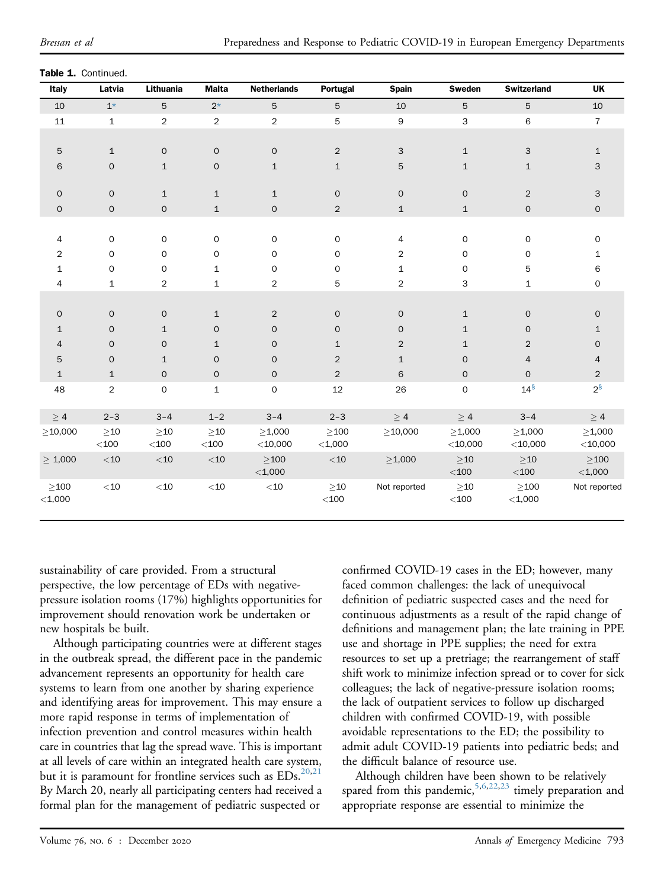| <b>Table 1. Continued.</b> |  |
|----------------------------|--|
|----------------------------|--|

| <b>Italy</b>             | Latvia              | Lithuania           | <b>Malta</b>        | <b>Netherlands</b>      | Portugal                  | <b>Spain</b>              | Sweden                    | <b>Switzerland</b>        | <b>UK</b>                 |
|--------------------------|---------------------|---------------------|---------------------|-------------------------|---------------------------|---------------------------|---------------------------|---------------------------|---------------------------|
| 10                       | $1*$                | 5                   | $2^{\star}$         | 5                       | $\mathbf 5$               | 10                        | $\mathbf 5$               | $\mathbf 5$               | $10$                      |
| $11\,$                   | $\mathbf 1$         | $\mathbf 2$         | $\overline{c}$      | $\overline{c}$          | 5                         | $\mathsf g$               | 3                         | 6                         | $\overline{7}$            |
|                          |                     |                     |                     |                         |                           |                           |                           |                           |                           |
| $\sqrt{5}$               | $\mathbf{1}$        | $\mathsf{O}\xspace$ | $\mathsf{O}\xspace$ | $\mathsf{O}\xspace$     | $\overline{2}$            | $\ensuremath{\mathsf{3}}$ | $\mathbf{1}$              | $\ensuremath{\mathsf{3}}$ | $\mathbf{1}$              |
| 6                        | $\mathbf 0$         | $\mathbf{1}$        | $\mathsf{O}\xspace$ | $\mathbf 1$             | $\mathbf{1}$              | $\mathbf 5$               | $\mathbf{1}$              | $\mathbf{1}$              | $\mathsf 3$               |
|                          |                     |                     |                     |                         |                           |                           |                           |                           |                           |
| $\mathbf 0$              | $\mathbf 0$         | $\mathbf{1}$        | $\mathbf{1}$        | $\mathbf{1}$            | $\mathsf{O}\xspace$       | $\mathsf O$               | $\mathbf 0$               | $\overline{2}$            | $\ensuremath{\mathsf{3}}$ |
| $\mbox{O}$               | $\mathsf{O}\xspace$ | $\mathsf{O}\xspace$ | $\mathbf{1}$        | $\mathsf{O}\xspace$     | $\overline{c}$            | $\mathbf 1$               | $\mathbf 1$               | $\mathsf{O}\xspace$       | $\mathsf{O}\xspace$       |
|                          |                     |                     |                     |                         |                           |                           |                           |                           |                           |
| $\overline{4}$           | $\mathbf 0$         | $\mathsf O$         | $\mathsf O$         | 0                       | $\mathsf{O}\xspace$       | $\overline{4}$            | $\mathbf 0$               | $\mathsf{O}\xspace$       | $\mathsf O$               |
| $\overline{c}$           | $\mathbf 0$         | 0                   | $\mathbf 0$         | 0                       | $\mathsf{O}\xspace$       | $\overline{c}$            | $\mathsf{O}\xspace$       | $\mathsf{O}\xspace$       | $\mathbf{1}$              |
| $\mathbf{1}$             | $\mathbf{O}$        | 0                   | $\mathbf{1}$        | 0                       | $\mathsf{O}\xspace$       | $\mathbf 1$               | $\mathsf{O}\xspace$       | 5                         | 6                         |
| 4                        | $\mathbf{1}$        | $\overline{2}$      | $\mathbf{1}$        | $\mathbf 2$             | 5                         | $\overline{c}$            | 3                         | $\mathbf{1}$              | $\mathsf O$               |
|                          |                     |                     |                     |                         |                           |                           |                           |                           |                           |
| $\mathbf 0$              | $\mathbf 0$         | $\mathsf{O}\xspace$ | $\mathbf{1}$        | $\overline{2}$          | $\mathsf{O}\xspace$       | $\mathsf{O}\xspace$       | $\mathbf 1$               | $\mathsf{O}\xspace$       | $\mathsf O$               |
| $\mathbf{1}$             | $\mathbf 0$         | $\mathbf{1}$        | $\mathbf 0$         | $\mathsf{O}$            | $\mathbf 0$               | $\mathsf O$               | $\mathbf{1}$              | $\mathbf 0$               | $\mathbf{1}$              |
| 4                        | $\mathbf 0$         | $\mathbf 0$         | $\mathbf{1}$        | $\mathsf{O}\xspace$     | $\mathbf{1}$              | $\overline{c}$            | $\mathbf{1}$              | $\overline{c}$            | $\mathbf 0$               |
| 5                        | $\mathbf 0$         | $\mathbf{1}$        | $\mathbf 0$         | $\mathbf 0$             | $\overline{2}$            | $\mathbf{1}$              | $\mathbf 0$               | $\overline{4}$            | $\overline{4}$            |
| $\mathbf{1}$             | $\mathbf{1}$        | $\mathsf O$         | $\mbox{O}$          | $\mathbf 0$             | $\overline{c}$            | $\,6$                     | $\mathsf{O}\xspace$       | $\mathsf{O}\xspace$       | $\sqrt{2}$                |
| 48                       | $\overline{c}$      | $\mathsf{O}\xspace$ | $\mathbf{1}$        | $\mathsf{O}\xspace$     | 12                        | 26                        | $\mathsf{O}\xspace$       | $14^{\frac{5}{3}}$        | $2^{\S}$                  |
|                          |                     |                     |                     |                         |                           |                           |                           |                           |                           |
| $\geq 4$                 | $2 - 3$             | $3 - 4$             | $1 - 2$             | $3 - 4$                 | $2 - 3$                   | $\geq 4$                  | $\geq 4$                  | $3 - 4$                   | $\geq 4$                  |
| $\geq$ 10,000            | $\geq$ 10           | $\geq$ 10           | $\geq$ 10           | $\geq$ 1,000            | $\geq$ 100                | $\geq$ 10,000             | $\geq$ 1,000              | $\geq$ 1,000              | ${\ge}1{,}000$            |
|                          | $<$ 100 $\,$        | $<$ 100 $\,$        | $<$ 100 $\,$        | $<$ 10,000              | $<$ 1,000                 |                           | $<$ 10,000                | $<$ 10,000                | $<$ 10,000                |
| $\geq 1,000$             | $<\!\!10$           | $<$ 10 $\,$         | $<$ 10 $\,$         | $\geq$ 100<br>$<$ 1,000 | $<$ 10 $\,$               | $\geq$ 1,000              | $\geq$ 10<br>$<$ 100 $\,$ | $\geq$ 10<br>$<$ 100 $\,$ | $\geq$ 100                |
|                          |                     |                     |                     |                         |                           |                           |                           |                           | $<$ 1,000                 |
| ${\geq}100$<br>$<$ 1,000 | $<$ 10 $\,$         | $<$ 10 $\,$         | $<$ 10 $\,$         | $<$ 10 $\,$             | $\geq$ 10<br>$<$ 100 $\,$ | Not reported              | $\geq$ 10<br>$<$ 100 $\,$ | $\geq$ 100<br>$<$ 1,000   | Not reported              |
|                          |                     |                     |                     |                         |                           |                           |                           |                           |                           |

sustainability of care provided. From a structural perspective, the low percentage of EDs with negativepressure isolation rooms (17%) highlights opportunities for improvement should renovation work be undertaken or new hospitals be built.

Although participating countries were at different stages in the outbreak spread, the different pace in the pandemic advancement represents an opportunity for health care systems to learn from one another by sharing experience and identifying areas for improvement. This may ensure a more rapid response in terms of implementation of infection prevention and control measures within health care in countries that lag the spread wave. This is important at all levels of care within an integrated health care system, but it is paramount for frontline services such as  $EDs$ .<sup>20[,21](#page-12-13)</sup> By March 20, nearly all participating centers had received a formal plan for the management of pediatric suspected or

confirmed COVID-19 cases in the ED; however, many faced common challenges: the lack of unequivocal definition of pediatric suspected cases and the need for continuous adjustments as a result of the rapid change of definitions and management plan; the late training in PPE use and shortage in PPE supplies; the need for extra resources to set up a pretriage; the rearrangement of staff shift work to minimize infection spread or to cover for sick colleagues; the lack of negative-pressure isolation rooms; the lack of outpatient services to follow up discharged children with confirmed COVID-19, with possible avoidable representations to the ED; the possibility to admit adult COVID-19 patients into pediatric beds; and the difficult balance of resource use.

Although children have been shown to be relatively spared from this pandemic,  $5,6,22,23$  $5,6,22,23$  $5,6,22,23$  $5,6,22,23$  $5,6,22,23$  timely preparation and appropriate response are essential to minimize the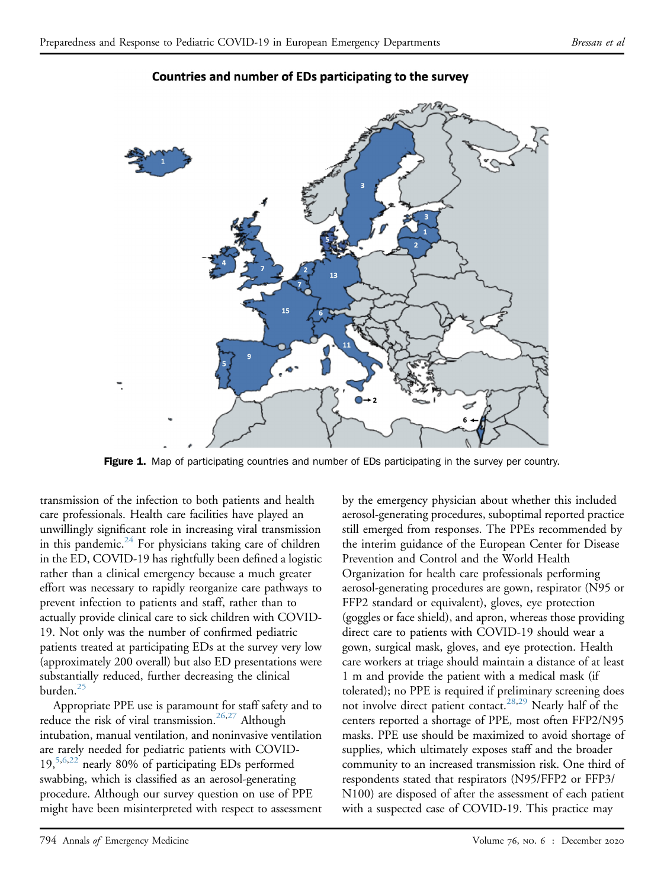<span id="page-6-0"></span>

## Countries and number of EDs participating to the survey

Figure 1. Map of participating countries and number of EDs participating in the survey per country.

transmission of the infection to both patients and health care professionals. Health care facilities have played an unwillingly significant role in increasing viral transmission in this pandemic. $^{24}$  For physicians taking care of children in the ED, COVID-19 has rightfully been defined a logistic rather than a clinical emergency because a much greater effort was necessary to rapidly reorganize care pathways to prevent infection to patients and staff, rather than to actually provide clinical care to sick children with COVID-19. Not only was the number of confirmed pediatric patients treated at participating EDs at the survey very low (approximately 200 overall) but also ED presentations were substantially reduced, further decreasing the clinical burden.<sup>[25](#page-12-17)</sup>

Appropriate PPE use is paramount for staff safety and to reduce the risk of viral transmission.<sup>26,[27](#page-12-19)</sup> Although intubation, manual ventilation, and noninvasive ventilation are rarely needed for pediatric patients with COVID-19,[5,](#page-11-4)[6,](#page-11-5)[22](#page-12-14) nearly 80% of participating EDs performed swabbing, which is classified as an aerosol-generating procedure. Although our survey question on use of PPE might have been misinterpreted with respect to assessment by the emergency physician about whether this included aerosol-generating procedures, suboptimal reported practice still emerged from responses. The PPEs recommended by the interim guidance of the European Center for Disease Prevention and Control and the World Health Organization for health care professionals performing aerosol-generating procedures are gown, respirator (N95 or FFP2 standard or equivalent), gloves, eye protection (goggles or face shield), and apron, whereas those providing direct care to patients with COVID-19 should wear a gown, surgical mask, gloves, and eye protection. Health care workers at triage should maintain a distance of at least 1 m and provide the patient with a medical mask (if tolerated); no PPE is required if preliminary screening does not involve direct patient contact.<sup>28,[29](#page-12-21)</sup> Nearly half of the centers reported a shortage of PPE, most often FFP2/N95 masks. PPE use should be maximized to avoid shortage of supplies, which ultimately exposes staff and the broader community to an increased transmission risk. One third of respondents stated that respirators (N95/FFP2 or FFP3/ N100) are disposed of after the assessment of each patient with a suspected case of COVID-19. This practice may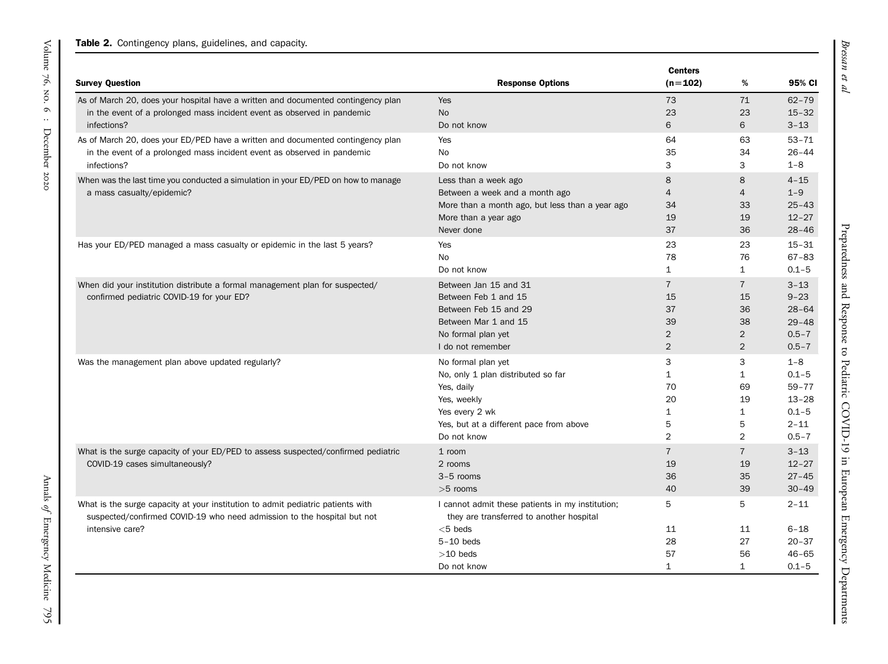#### **Table 2.** Contingency plans, guidelines, and capacity.

<span id="page-7-0"></span>

| <b>Survey Question</b>                                                                                                                                                        | <b>Response Options</b>                                                                                                                                           | <b>Centers</b><br>$(n=102)$                                          | %                                                                    | 95% CI                                                                               |
|-------------------------------------------------------------------------------------------------------------------------------------------------------------------------------|-------------------------------------------------------------------------------------------------------------------------------------------------------------------|----------------------------------------------------------------------|----------------------------------------------------------------------|--------------------------------------------------------------------------------------|
| As of March 20, does your hospital have a written and documented contingency plan<br>in the event of a prolonged mass incident event as observed in pandemic<br>infections?   | Yes<br>No<br>Do not know                                                                                                                                          | 73<br>23<br>6                                                        | 71<br>23<br>6                                                        | $62 - 79$<br>$15 - 32$<br>$3 - 13$                                                   |
| As of March 20, does your ED/PED have a written and documented contingency plan<br>in the event of a prolonged mass incident event as observed in pandemic<br>infections?     | Yes<br><b>No</b><br>Do not know                                                                                                                                   | 64<br>35<br>3                                                        | 63<br>34<br>3                                                        | $53 - 71$<br>$26 - 44$<br>$1 - 8$                                                    |
| When was the last time you conducted a simulation in your ED/PED on how to manage<br>a mass casualty/epidemic?                                                                | Less than a week ago<br>Between a week and a month ago<br>More than a month ago, but less than a year ago<br>More than a year ago<br>Never done                   | 8<br>$\overline{4}$<br>34<br>19<br>37                                | 8<br>$\overline{4}$<br>33<br>19<br>36                                | $4 - 15$<br>$1 - 9$<br>$25 - 43$<br>$12 - 27$<br>$28 - 46$                           |
| Has your ED/PED managed a mass casualty or epidemic in the last 5 years?                                                                                                      | Yes<br><b>No</b><br>Do not know                                                                                                                                   | 23<br>78<br>$\mathbf{1}$                                             | 23<br>76<br>1                                                        | $15 - 31$<br>$67 - 83$<br>$0.1 - 5$                                                  |
| When did your institution distribute a formal management plan for suspected/<br>confirmed pediatric COVID-19 for your ED?                                                     | Between Jan 15 and 31<br>Between Feb 1 and 15<br>Between Feb 15 and 29<br>Between Mar 1 and 15<br>No formal plan yet<br>I do not remember                         | $\overline{7}$<br>15<br>37<br>39<br>2<br>2                           | $\overline{7}$<br>15<br>36<br>38<br>2<br>2                           | $3 - 13$<br>$9 - 23$<br>$28 - 64$<br>$29 - 48$<br>$0.5 - 7$<br>$0.5 - 7$             |
| Was the management plan above updated regularly?                                                                                                                              | No formal plan yet<br>No, only 1 plan distributed so far<br>Yes, daily<br>Yes, weekly<br>Yes every 2 wk<br>Yes, but at a different pace from above<br>Do not know | 3<br>$\mathbf{1}$<br>70<br>20<br>$\mathbf{1}$<br>5<br>$\overline{2}$ | 3<br>$\mathbf{1}$<br>69<br>19<br>$\mathbf{1}$<br>5<br>$\overline{2}$ | $1 - 8$<br>$0.1 - 5$<br>$59 - 77$<br>$13 - 28$<br>$0.1 - 5$<br>$2 - 11$<br>$0.5 - 7$ |
| What is the surge capacity of your ED/PED to assess suspected/confirmed pediatric<br>COVID-19 cases simultaneously?                                                           | 1 room<br>2 rooms<br>3-5 rooms<br>$>5$ rooms                                                                                                                      | $\overline{7}$<br>19<br>36<br>40                                     | $\overline{7}$<br>19<br>35<br>39                                     | $3 - 13$<br>$12 - 27$<br>$27 - 45$<br>$30 - 49$                                      |
| What is the surge capacity at your institution to admit pediatric patients with<br>suspected/confirmed COVID-19 who need admission to the hospital but not<br>intensive care? | I cannot admit these patients in my institution;<br>they are transferred to another hospital<br>$<$ 5 beds<br>$5-10$ beds<br>$>10$ beds<br>Do not know            | 5<br>11<br>28<br>57<br>$\mathbf{1}$                                  | 5<br>11<br>27<br>56<br>1                                             | $2 - 11$<br>$6 - 18$<br>$20 - 37$<br>$46 - 65$<br>$0.1 - 5$                          |

Bressan et al

Preparedness and Response to Pediatric COVID-19 in European Emergency Departments

Preparedness and Response to Pediatric COVID-19 in European Emergency Departments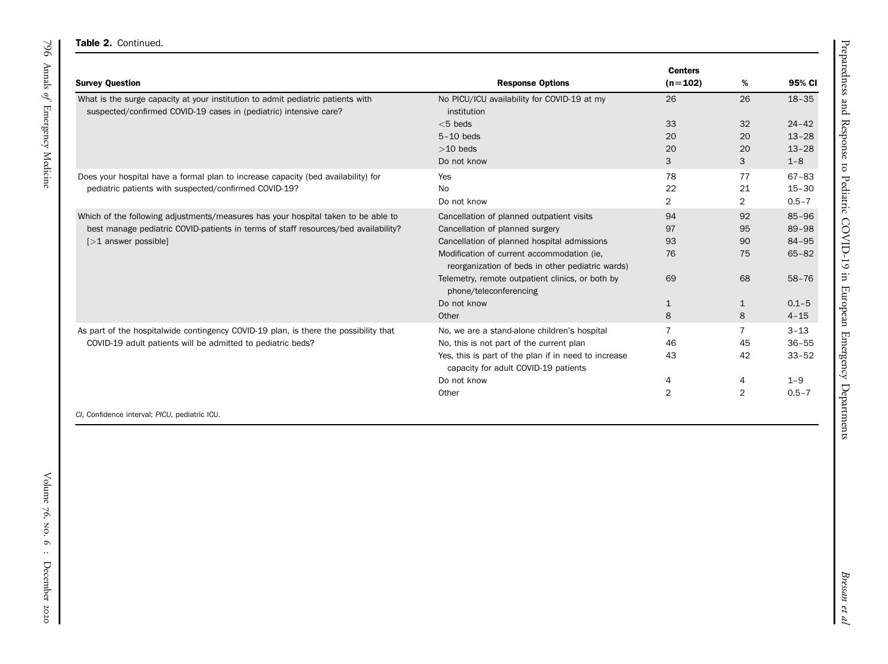| <b>Survey Question</b>                                                                                                                               | <b>Response Options</b>                                                                                              |
|------------------------------------------------------------------------------------------------------------------------------------------------------|----------------------------------------------------------------------------------------------------------------------|
| What is the surge capacity at your institution to admit pediatric patients with<br>suspected/confirmed COVID-19 cases in (pediatric) intensive care? | No PICU/ICU availability for COVID-19 at my<br>institution<br>$<$ 5 beds<br>$5-10$ beds<br>$>10$ beds<br>Do not know |
| Does your hospital have a formal plan to increase capacity (bed availability) for<br>pediatric patients with suspected/confirmed COVID-19?           | <b>Yes</b><br>No.<br>Do not know                                                                                     |
| Which of the following adjustments/measures has your hospital taken to be able to                                                                    | Cancellation of planned outpatient visits                                                                            |

best manage pediatric COVID-patients in terms of staff resources/bed a [>1 answer possible]

As part of the hospitalwide contingency COVID-19 plan, is there the possil COVID-19 adult patients will be admitted to pediatric beds?

|                             | $5-10$ beds                                                                                                                                                                                                                                                                                                                         | 20                                                | 20                                                |
|-----------------------------|-------------------------------------------------------------------------------------------------------------------------------------------------------------------------------------------------------------------------------------------------------------------------------------------------------------------------------------|---------------------------------------------------|---------------------------------------------------|
|                             | $>10$ beds                                                                                                                                                                                                                                                                                                                          | 20                                                | 20                                                |
|                             | Do not know                                                                                                                                                                                                                                                                                                                         | 3                                                 | 3                                                 |
| ty) for                     | Yes                                                                                                                                                                                                                                                                                                                                 | 78                                                | 77                                                |
|                             | <b>No</b>                                                                                                                                                                                                                                                                                                                           | 22                                                | 21                                                |
|                             | Do not know                                                                                                                                                                                                                                                                                                                         | 2                                                 | $\overline{2}$                                    |
| be able to<br>availability? | Cancellation of planned outpatient visits<br>Cancellation of planned surgery<br>Cancellation of planned hospital admissions<br>Modification of current accommodation (ie,<br>reorganization of beds in other pediatric wards)<br>Telemetry, remote outpatient clinics, or both by<br>phone/teleconferencing<br>Do not know<br>Other | 94<br>97<br>93<br>76<br>69<br>$\mathbf{1}$<br>8   | 92<br>95<br>90<br>75<br>68<br>$\mathbf{1}$<br>8   |
| bility that                 | No, we are a stand-alone children's hospital<br>No, this is not part of the current plan<br>Yes, this is part of the plan if in need to increase<br>capacity for adult COVID-19 patients<br>Do not know<br>Other                                                                                                                    | $\overline{7}$<br>46<br>43<br>4<br>$\overline{2}$ | $\overline{7}$<br>45<br>42<br>4<br>$\overline{2}$ |

Centers  $(n=102)$ 

26

33

[102) % 95% CI

18–35

24–4213–28 13–28 1–8

67–83 15–300.5–7

85–96 89–9884–95 65–82

58–76

0.1–5 4–15

3–1336–55 33–52

1–9 $0.5 - 7$ 

26

32

CI, Confidence interval; PICU, pediatric ICU.

Table 2. Continued.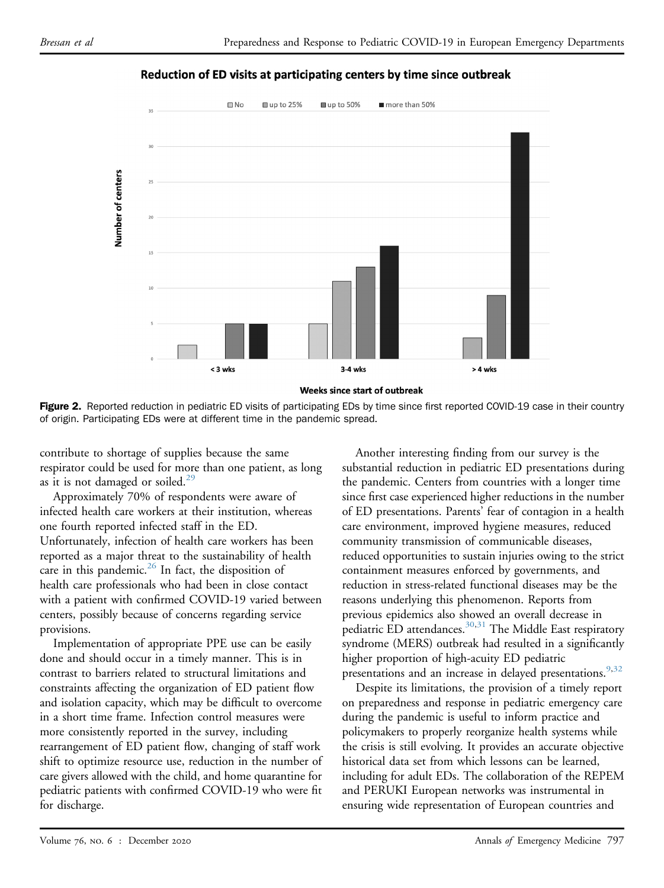<span id="page-9-0"></span>

Reduction of ED visits at participating centers by time since outbreak

Figure 2. Reported reduction in pediatric ED visits of participating EDs by time since first reported COVID-19 case in their country of origin. Participating EDs were at different time in the pandemic spread.

contribute to shortage of supplies because the same respirator could be used for more than one patient, as long as it is not damaged or soiled.<sup>[29](#page-12-21)</sup>

Approximately 70% of respondents were aware of infected health care workers at their institution, whereas one fourth reported infected staff in the ED. Unfortunately, infection of health care workers has been reported as a major threat to the sustainability of health care in this pandemic.<sup>[26](#page-12-18)</sup> In fact, the disposition of health care professionals who had been in close contact with a patient with confirmed COVID-19 varied between centers, possibly because of concerns regarding service provisions.

Implementation of appropriate PPE use can be easily done and should occur in a timely manner. This is in contrast to barriers related to structural limitations and constraints affecting the organization of ED patient flow and isolation capacity, which may be difficult to overcome in a short time frame. Infection control measures were more consistently reported in the survey, including rearrangement of ED patient flow, changing of staff work shift to optimize resource use, reduction in the number of care givers allowed with the child, and home quarantine for pediatric patients with confirmed COVID-19 who were fit for discharge.

Another interesting finding from our survey is the substantial reduction in pediatric ED presentations during the pandemic. Centers from countries with a longer time since first case experienced higher reductions in the number of ED presentations. Parents' fear of contagion in a health care environment, improved hygiene measures, reduced community transmission of communicable diseases, reduced opportunities to sustain injuries owing to the strict containment measures enforced by governments, and reduction in stress-related functional diseases may be the reasons underlying this phenomenon. Reports from previous epidemics also showed an overall decrease in pediatric  $\text{ED}$  attendances.<sup>[30](#page-12-22)[,31](#page-12-23)</sup> The Middle East respiratory syndrome (MERS) outbreak had resulted in a significantly higher proportion of high-acuity ED pediatric presentations and an increase in delayed presentations.<sup>[9](#page-12-2)[,32](#page-12-24)</sup>

Despite its limitations, the provision of a timely report on preparedness and response in pediatric emergency care during the pandemic is useful to inform practice and policymakers to properly reorganize health systems while the crisis is still evolving. It provides an accurate objective historical data set from which lessons can be learned, including for adult EDs. The collaboration of the REPEM and PERUKI European networks was instrumental in ensuring wide representation of European countries and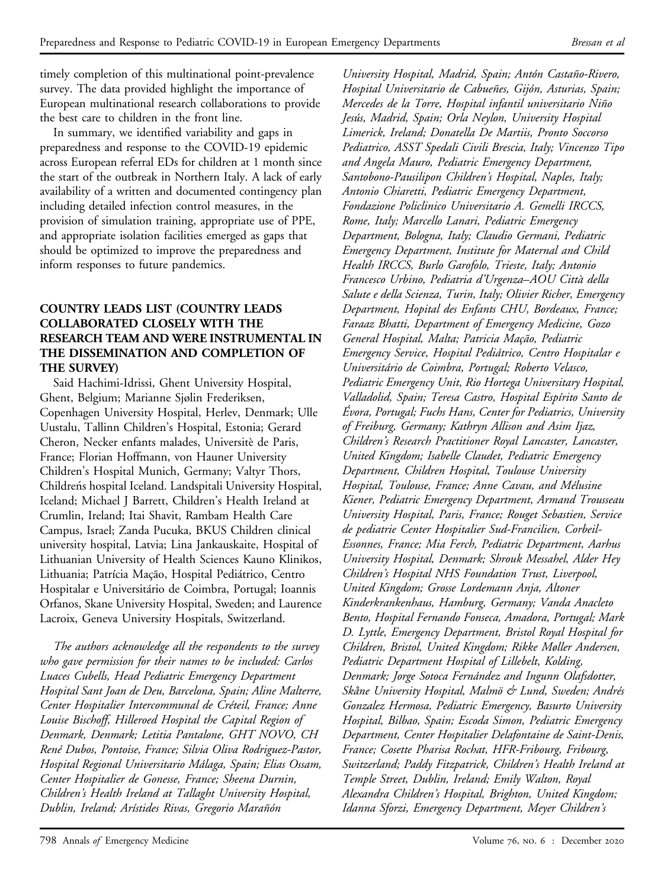timely completion of this multinational point-prevalence survey. The data provided highlight the importance of European multinational research collaborations to provide the best care to children in the front line.

In summary, we identified variability and gaps in preparedness and response to the COVID-19 epidemic across European referral EDs for children at 1 month since the start of the outbreak in Northern Italy. A lack of early availability of a written and documented contingency plan including detailed infection control measures, in the provision of simulation training, appropriate use of PPE, and appropriate isolation facilities emerged as gaps that should be optimized to improve the preparedness and inform responses to future pandemics.

## COUNTRY LEADS LIST (COUNTRY LEADS COLLABORATED CLOSELY WITH THE RESEARCH TEAM AND WERE INSTRUMENTAL IN THE DISSEMINATION AND COMPLETION OF THE SURVEY)

Said Hachimi-Idrissi, Ghent University Hospital, Ghent, Belgium; Marianne Sjølin Frederiksen, Copenhagen University Hospital, Herlev, Denmark; Ulle Uustalu, Tallinn Children's Hospital, Estonia; Gerard Cheron, Necker enfants malades, Universitè de Paris, France; Florian Hoffmann, von Hauner University Children's Hospital Munich, Germany; Valtyr Thors, Childrens hospital Iceland. Landspitali University Hospital, Iceland; Michael J Barrett, Children's Health Ireland at Crumlin, Ireland; Itai Shavit, Rambam Health Care Campus, Israel; Zanda Pucuka, BKUS Children clinical university hospital, Latvia; Lina Jankauskaite, Hospital of Lithuanian University of Health Sciences Kauno Klinikos, Lithuania; Patrícia Mação, Hospital Pediátrico, Centro Hospitalar e Universitário de Coimbra, Portugal; Ioannis Orfanos, Skane University Hospital, Sweden; and Laurence Lacroix, Geneva University Hospitals, Switzerland.

The authors acknowledge all the respondents to the survey who gave permission for their names to be included: Carlos Luaces Cubells, Head Pediatric Emergency Department Hospital Sant Joan de Deu, Barcelona, Spain; Aline Malterre, Center Hospitalier Intercommunal de Créteil, France; Anne Louise Bischoff, Hilleroed Hospital the Capital Region of Denmark, Denmark; Letitia Pantalone, GHT NOVO, CH René Dubos, Pontoise, France; Silvia Oliva Rodriguez-Pastor, Hospital Regional Universitario Málaga, Spain; Elias Ossam, Center Hospitalier de Gonesse, France; Sheena Durnin, Children's Health Ireland at Tallaght University Hospital, Dublin, Ireland; Arístides Rivas, Gregorio Marañón

University Hospital, Madrid, Spain; Antón Castaño-Rivero, Hospital Universitario de Cabueñes, Gijón, Asturias, Spain; Mercedes de la Torre, Hospital infantil universitario Niño Jesús, Madrid, Spain; Orla Neylon, University Hospital Limerick, Ireland; Donatella De Martiis, Pronto Soccorso Pediatrico, ASST Spedali Civili Brescia, Italy; Vincenzo Tipo and Angela Mauro, Pediatric Emergency Department, Santobono-Pausilipon Children's Hospital, Naples, Italy; Antonio Chiaretti, Pediatric Emergency Department, Fondazione Policlinico Universitario A. Gemelli IRCCS, Rome, Italy; Marcello Lanari, Pediatric Emergency Department, Bologna, Italy; Claudio Germani, Pediatric Emergency Department, Institute for Maternal and Child Health IRCCS, Burlo Garofolo, Trieste, Italy; Antonio Francesco Urbino, Pediatria d'Urgenza–AOU Città della Salute e della Scienza, Turin, Italy; Olivier Richer, Emergency Department, Hopital des Enfants CHU, Bordeaux, France; Faraaz Bhatti, Department of Emergency Medicine, Gozo General Hospital, Malta; Patricia Mação, Pediatric Emergency Service, Hospital Pediátrico, Centro Hospitalar e Universitário de Coimbra, Portugal; Roberto Velasco, Pediatric Emergency Unit, Rio Hortega Universitary Hospital, Valladolid, Spain; Teresa Castro, Hospital Espírito Santo de Évora, Portugal; Fuchs Hans, Center for Pediatrics, University of Freiburg, Germany; Kathryn Allison and Asim Ijaz, Children's Research Practitioner Royal Lancaster, Lancaster, United Kingdom; Isabelle Claudet, Pediatric Emergency Department, Children Hospital, Toulouse University Hospital, Toulouse, France; Anne Cavau, and Mélusine Kiener, Pediatric Emergency Department, Armand Trousseau University Hospital, Paris, France; Rouget Sebastien, Service de pediatrie Center Hospitalier Sud-Francilien, Corbeil-Essonnes, France; Mia Ferch, Pediatric Department, Aarhus University Hospital, Denmark; Shrouk Messahel, Alder Hey Children's Hospital NHS Foundation Trust, Liverpool, United Kingdom; Grosse Lordemann Anja, Altoner Kinderkrankenhaus, Hamburg, Germany; Vanda Anacleto Bento, Hospital Fernando Fonseca, Amadora, Portugal; Mark D. Lyttle, Emergency Department, Bristol Royal Hospital for Children, Bristol, United Kingdom; Rikke Møller Andersen, Pediatric Department Hospital of Lillebelt, Kolding, Denmark; Jorge Sotoca Fernández and Ingunn Olafsdotter, Skåne University Hospital, Malmö & Lund, Sweden; Andrés Gonzalez Hermosa, Pediatric Emergency, Basurto University Hospital, Bilbao, Spain; Escoda Simon, Pediatric Emergency Department, Center Hospitalier Delafontaine de Saint-Denis, France; Cosette Pharisa Rochat, HFR-Fribourg, Fribourg, Switzerland; Paddy Fitzpatrick, Children's Health Ireland at Temple Street, Dublin, Ireland; Emily Walton, Royal Alexandra Children's Hospital, Brighton, United Kingdom; Idanna Sforzi, Emergency Department, Meyer Children's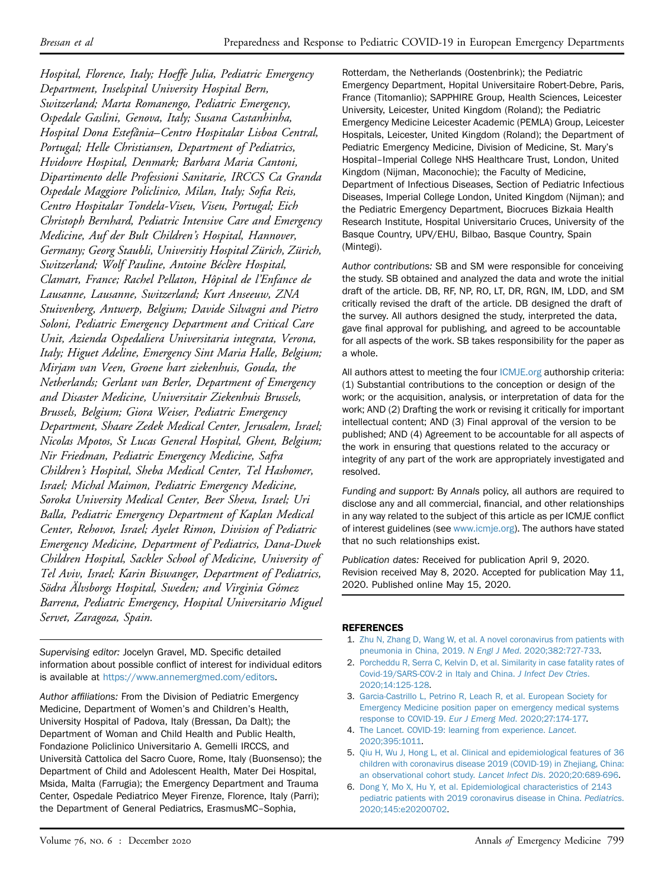Hospital, Florence, Italy; Hoeffe Julia, Pediatric Emergency Department, Inselspital University Hospital Bern, Switzerland; Marta Romanengo, Pediatric Emergency, Ospedale Gaslini, Genova, Italy; Susana Castanhinha, Hospital Dona Estefânia–Centro Hospitalar Lisboa Central, Portugal; Helle Christiansen, Department of Pediatrics, Hvidovre Hospital, Denmark; Barbara Maria Cantoni, Dipartimento delle Professioni Sanitarie, IRCCS Ca Granda Ospedale Maggiore Policlinico, Milan, Italy; Sofia Reis, Centro Hospitalar Tondela-Viseu, Viseu, Portugal; Eich Christoph Bernhard, Pediatric Intensive Care and Emergency Medicine, Auf der Bult Children's Hospital, Hannover, Germany; Georg Staubli, Universitiy Hospital Zürich, Zürich, Switzerland; Wolf Pauline, Antoine Béclère Hospital, Clamart, France; Rachel Pellaton, Hôpital de l'Enfance de Lausanne, Lausanne, Switzerland; Kurt Anseeuw, ZNA Stuivenberg, Antwerp, Belgium; Davide Silvagni and Pietro Soloni, Pediatric Emergency Department and Critical Care Unit, Azienda Ospedaliera Universitaria integrata, Verona, Italy; Higuet Adeline, Emergency Sint Maria Halle, Belgium; Mirjam van Veen, Groene hart ziekenhuis, Gouda, the Netherlands; Gerlant van Berler, Department of Emergency and Disaster Medicine, Universitair Ziekenhuis Brussels, Brussels, Belgium; Giora Weiser, Pediatric Emergency Department, Shaare Zedek Medical Center, Jerusalem, Israel; Nicolas Mpotos, St Lucas General Hospital, Ghent, Belgium; Nir Friedman, Pediatric Emergency Medicine, Safra Children's Hospital, Sheba Medical Center, Tel Hashomer, Israel; Michal Maimon, Pediatric Emergency Medicine, Soroka University Medical Center, Beer Sheva, Israel; Uri Balla, Pediatric Emergency Department of Kaplan Medical Center, Rehovot, Israel; Ayelet Rimon, Division of Pediatric Emergency Medicine, Department of Pediatrics, Dana-Dwek Children Hospital, Sackler School of Medicine, University of Tel Aviv, Israel; Karin Biswanger, Department of Pediatrics, Södra Älvsborgs Hospital, Sweden; and Virginia Gómez Barrena, Pediatric Emergency, Hospital Universitario Miguel Servet, Zaragoza, Spain.

Supervising editor: Jocelyn Gravel, MD. Specific detailed information about possible conflict of interest for individual editors is available at <https://www.annemergmed.com/editors>.

Author affiliations: From the Division of Pediatric Emergency Medicine, Department of Women's and Children's Health, University Hospital of Padova, Italy (Bressan, Da Dalt); the Department of Woman and Child Health and Public Health, Fondazione Policlinico Universitario A. Gemelli IRCCS, and Università Cattolica del Sacro Cuore, Rome, Italy (Buonsenso); the Department of Child and Adolescent Health, Mater Dei Hospital, Msida, Malta (Farrugia); the Emergency Department and Trauma Center, Ospedale Pediatrico Meyer Firenze, Florence, Italy (Parri); the Department of General Pediatrics, ErasmusMC–Sophia,

Rotterdam, the Netherlands (Oostenbrink); the Pediatric Emergency Department, Hopital Universitaire Robert-Debre, Paris, France (Titomanlio); SAPPHIRE Group, Health Sciences, Leicester University, Leicester, United Kingdom (Roland); the Pediatric Emergency Medicine Leicester Academic (PEMLA) Group, Leicester Hospitals, Leicester, United Kingdom (Roland); the Department of Pediatric Emergency Medicine, Division of Medicine, St. Mary's Hospital–Imperial College NHS Healthcare Trust, London, United Kingdom (Nijman, Maconochie); the Faculty of Medicine, Department of Infectious Diseases, Section of Pediatric Infectious Diseases, Imperial College London, United Kingdom (Nijman); and the Pediatric Emergency Department, Biocruces Bizkaia Health Research Institute, Hospital Universitario Cruces, University of the Basque Country, UPV/EHU, Bilbao, Basque Country, Spain (Mintegi).

Author contributions: SB and SM were responsible for conceiving the study. SB obtained and analyzed the data and wrote the initial draft of the article. DB, RF, NP, RO, LT, DR, RGN, IM, LDD, and SM critically revised the draft of the article. DB designed the draft of the survey. All authors designed the study, interpreted the data, gave final approval for publishing, and agreed to be accountable for all aspects of the work. SB takes responsibility for the paper as a whole.

All authors attest to meeting the four [ICMJE.org](http://ICMJE.org) authorship criteria: (1) Substantial contributions to the conception or design of the work; or the acquisition, analysis, or interpretation of data for the work; AND (2) Drafting the work or revising it critically for important intellectual content; AND (3) Final approval of the version to be published; AND (4) Agreement to be accountable for all aspects of the work in ensuring that questions related to the accuracy or integrity of any part of the work are appropriately investigated and resolved.

Funding and support: By Annals policy, all authors are required to disclose any and all commercial, financial, and other relationships in any way related to the subject of this article as per ICMJE conflict of interest guidelines (see [www.icmje.org](http://www.icmje.org)). The authors have stated that no such relationships exist.

Publication dates: Received for publication April 9, 2020. Revision received May 8, 2020. Accepted for publication May 11, 2020. Published online May 15, 2020.

#### <span id="page-11-0"></span>**REFERENCES**

- 1. [Zhu N, Zhang D, Wang W, et al. A novel coronavirus from patients with](http://refhub.elsevier.com/S0196-0644(20)30366-8/sref1) [pneumonia in China, 2019.](http://refhub.elsevier.com/S0196-0644(20)30366-8/sref1) N Engl J Med. 2020;382:727-733.
- <span id="page-11-1"></span>2. [Porcheddu R, Serra C, Kelvin D, et al. Similarity in case fatality rates of](http://refhub.elsevier.com/S0196-0644(20)30366-8/sref2) [Covid-19/SARS-COV-2 in Italy and China.](http://refhub.elsevier.com/S0196-0644(20)30366-8/sref2) J Infect Dev Ctries. [2020;14:125-128](http://refhub.elsevier.com/S0196-0644(20)30366-8/sref2).
- <span id="page-11-2"></span>3. [Garcia-Castrillo L, Petrino R, Leach R, et al. European Society for](http://refhub.elsevier.com/S0196-0644(20)30366-8/sref3) [Emergency Medicine position paper on emergency medical systems](http://refhub.elsevier.com/S0196-0644(20)30366-8/sref3) [response to COVID-19.](http://refhub.elsevier.com/S0196-0644(20)30366-8/sref3) Eur J Emerg Med. 2020;27:174-177.
- <span id="page-11-3"></span>4. [The Lancet. COVID-19: learning from experience.](http://refhub.elsevier.com/S0196-0644(20)30366-8/sref4) Lancet. [2020;395:1011](http://refhub.elsevier.com/S0196-0644(20)30366-8/sref4).
- <span id="page-11-4"></span>5. [Qiu H, Wu J, Hong L, et al. Clinical and epidemiological features of 36](http://refhub.elsevier.com/S0196-0644(20)30366-8/sref5) [children with coronavirus disease 2019 \(COVID-19\) in Zhejiang, China:](http://refhub.elsevier.com/S0196-0644(20)30366-8/sref5) [an observational cohort study.](http://refhub.elsevier.com/S0196-0644(20)30366-8/sref5) Lancet Infect Dis. 2020;20:689-696.
- <span id="page-11-5"></span>6. [Dong Y, Mo X, Hu Y, et al. Epidemiological characteristics of 2143](http://refhub.elsevier.com/S0196-0644(20)30366-8/sref6) [pediatric patients with 2019 coronavirus disease in China.](http://refhub.elsevier.com/S0196-0644(20)30366-8/sref6) Pediatrics. [2020;145:e20200702.](http://refhub.elsevier.com/S0196-0644(20)30366-8/sref6)